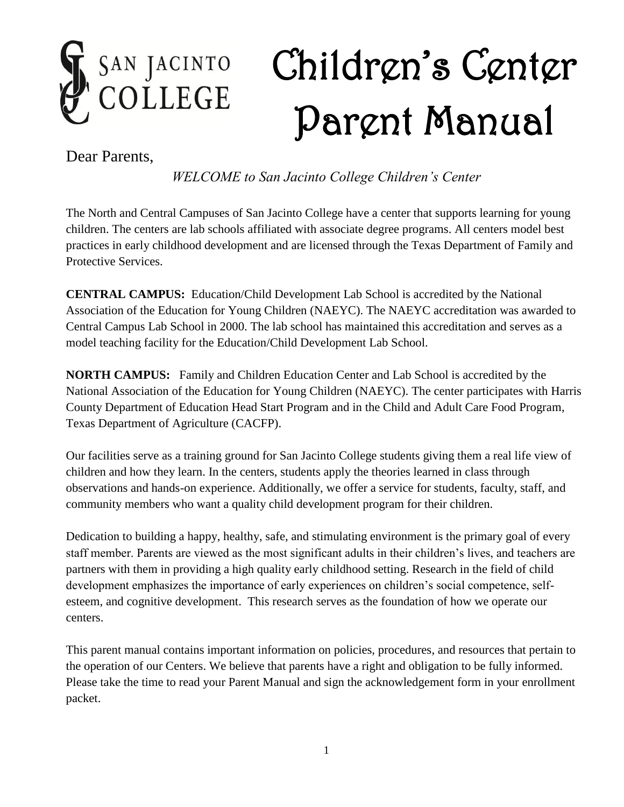# Children's Center SAN JACINTO<br>COLLEGE Parent Manual

Dear Parents,

*WELCOME to San Jacinto College Children's Center*

The North and Central Campuses of San Jacinto College have a center that supports learning for young children. The centers are lab schools affiliated with associate degree programs. All centers model best practices in early childhood development and are licensed through the Texas Department of Family and Protective Services.

**CENTRAL CAMPUS:** Education/Child Development Lab School is accredited by the National Association of the Education for Young Children (NAEYC). The NAEYC accreditation was awarded to Central Campus Lab School in 2000. The lab school has maintained this accreditation and serves as a model teaching facility for the Education/Child Development Lab School.

**NORTH CAMPUS:** Family and Children Education Center and Lab School is accredited by the National Association of the Education for Young Children (NAEYC). The center participates with Harris County Department of Education Head Start Program and in the Child and Adult Care Food Program, Texas Department of Agriculture (CACFP).

Our facilities serve as a training ground for San Jacinto College students giving them a real life view of children and how they learn. In the centers, students apply the theories learned in class through observations and hands-on experience. Additionally, we offer a service for students, faculty, staff, and community members who want a quality child development program for their children.

Dedication to building a happy, healthy, safe, and stimulating environment is the primary goal of every staff member. Parents are viewed as the most significant adults in their children's lives, and teachers are partners with them in providing a high quality early childhood setting. Research in the field of child development emphasizes the importance of early experiences on children's social competence, selfesteem, and cognitive development. This research serves as the foundation of how we operate our centers.

This parent manual contains important information on policies, procedures, and resources that pertain to the operation of our Centers. We believe that parents have a right and obligation to be fully informed. Please take the time to read your Parent Manual and sign the acknowledgement form in your enrollment packet.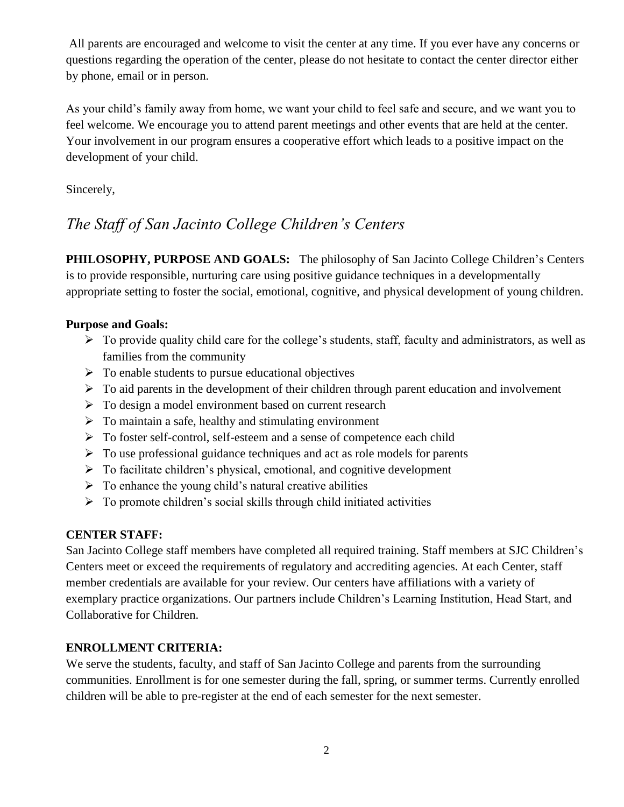All parents are encouraged and welcome to visit the center at any time. If you ever have any concerns or questions regarding the operation of the center, please do not hesitate to contact the center director either by phone, email or in person.

As your child's family away from home, we want your child to feel safe and secure, and we want you to feel welcome. We encourage you to attend parent meetings and other events that are held at the center. Your involvement in our program ensures a cooperative effort which leads to a positive impact on the development of your child.

Sincerely,

# *The Staff of San Jacinto College Children's Centers*

**PHILOSOPHY, PURPOSE AND GOALS:** The philosophy of San Jacinto College Children's Centers is to provide responsible, nurturing care using positive guidance techniques in a developmentally appropriate setting to foster the social, emotional, cognitive, and physical development of young children.

#### **Purpose and Goals:**

- $\triangleright$  To provide quality child care for the college's students, staff, faculty and administrators, as well as families from the community
- $\triangleright$  To enable students to pursue educational objectives
- $\triangleright$  To aid parents in the development of their children through parent education and involvement
- $\triangleright$  To design a model environment based on current research
- $\triangleright$  To maintain a safe, healthy and stimulating environment
- To foster self-control, self-esteem and a sense of competence each child
- $\triangleright$  To use professional guidance techniques and act as role models for parents
- $\triangleright$  To facilitate children's physical, emotional, and cognitive development
- $\triangleright$  To enhance the young child's natural creative abilities
- $\triangleright$  To promote children's social skills through child initiated activities

#### **CENTER STAFF:**

San Jacinto College staff members have completed all required training. Staff members at SJC Children's Centers meet or exceed the requirements of regulatory and accrediting agencies. At each Center, staff member credentials are available for your review. Our centers have affiliations with a variety of exemplary practice organizations. Our partners include Children's Learning Institution, Head Start, and Collaborative for Children.

#### **ENROLLMENT CRITERIA:**

We serve the students, faculty, and staff of San Jacinto College and parents from the surrounding communities. Enrollment is for one semester during the fall, spring, or summer terms. Currently enrolled children will be able to pre-register at the end of each semester for the next semester.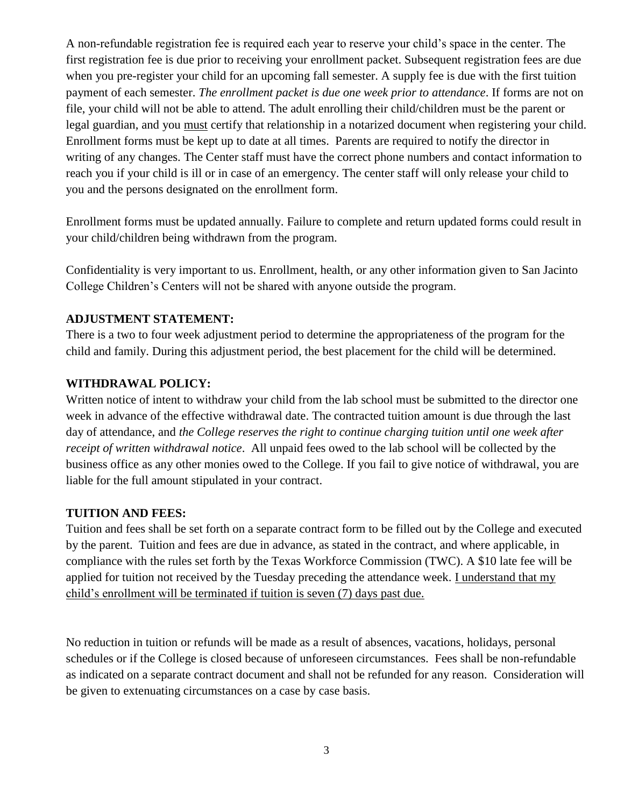A non-refundable registration fee is required each year to reserve your child's space in the center. The first registration fee is due prior to receiving your enrollment packet. Subsequent registration fees are due when you pre-register your child for an upcoming fall semester. A supply fee is due with the first tuition payment of each semester. *The enrollment packet is due one week prior to attendance*. If forms are not on file, your child will not be able to attend. The adult enrolling their child/children must be the parent or legal guardian, and you must certify that relationship in a notarized document when registering your child. Enrollment forms must be kept up to date at all times. Parents are required to notify the director in writing of any changes. The Center staff must have the correct phone numbers and contact information to reach you if your child is ill or in case of an emergency. The center staff will only release your child to you and the persons designated on the enrollment form.

Enrollment forms must be updated annually. Failure to complete and return updated forms could result in your child/children being withdrawn from the program.

Confidentiality is very important to us. Enrollment, health, or any other information given to San Jacinto College Children's Centers will not be shared with anyone outside the program.

#### **ADJUSTMENT STATEMENT:**

There is a two to four week adjustment period to determine the appropriateness of the program for the child and family. During this adjustment period, the best placement for the child will be determined.

#### **WITHDRAWAL POLICY:**

Written notice of intent to withdraw your child from the lab school must be submitted to the director one week in advance of the effective withdrawal date. The contracted tuition amount is due through the last day of attendance, and *the College reserves the right to continue charging tuition until one week after receipt of written withdrawal notice*. All unpaid fees owed to the lab school will be collected by the business office as any other monies owed to the College. If you fail to give notice of withdrawal, you are liable for the full amount stipulated in your contract.

# **TUITION AND FEES:**

Tuition and fees shall be set forth on a separate contract form to be filled out by the College and executed by the parent. Tuition and fees are due in advance, as stated in the contract, and where applicable, in compliance with the rules set forth by the Texas Workforce Commission (TWC). A \$10 late fee will be applied for tuition not received by the Tuesday preceding the attendance week. I understand that my child's enrollment will be terminated if tuition is seven (7) days past due.

No reduction in tuition or refunds will be made as a result of absences, vacations, holidays, personal schedules or if the College is closed because of unforeseen circumstances. Fees shall be non-refundable as indicated on a separate contract document and shall not be refunded for any reason. Consideration will be given to extenuating circumstances on a case by case basis.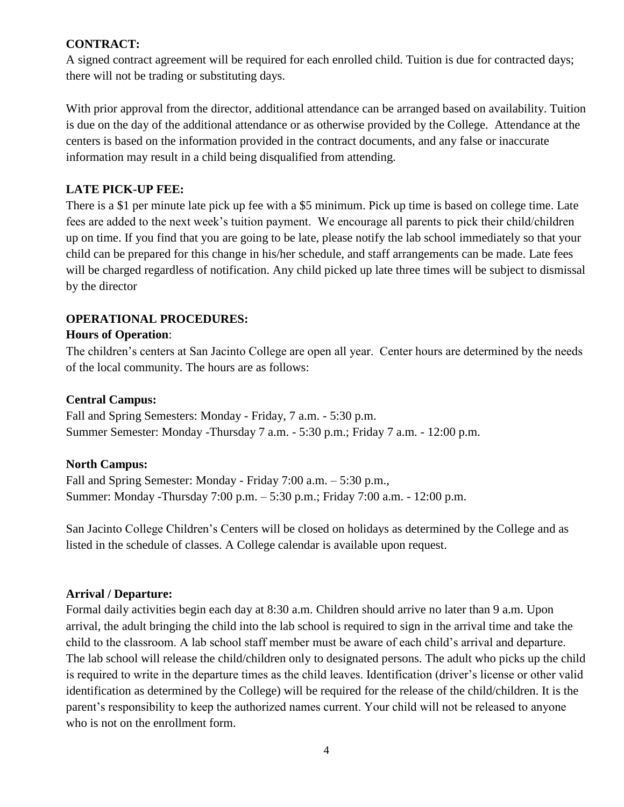#### **CONTRACT:**

A signed contract agreement will be required for each enrolled child. Tuition is due for contracted days; there will not be trading or substituting days.

With prior approval from the director, additional attendance can be arranged based on availability. Tuition is due on the day of the additional attendance or as otherwise provided by the College. Attendance at the centers is based on the information provided in the contract documents, and any false or inaccurate information may result in a child being disqualified from attending.

#### **LATE PICK-UP FEE:**

There is a \$1 per minute late pick up fee with a \$5 minimum. Pick up time is based on college time. Late fees are added to the next week's tuition payment. We encourage all parents to pick their child/children up on time. If you find that you are going to be late, please notify the lab school immediately so that your child can be prepared for this change in his/her schedule, and staff arrangements can be made. Late fees will be charged regardless of notification. Any child picked up late three times will be subject to dismissal by the director

# **OPERATIONAL PROCEDURES:**

#### **Hours of Operation**:

The children's centers at San Jacinto College are open all year. Center hours are determined by the needs of the local community. The hours are as follows:

#### **Central Campus:**

Fall and Spring Semesters: Monday - Friday, 7 a.m. - 5:30 p.m. Summer Semester: Monday -Thursday 7 a.m. - 5:30 p.m.; Friday 7 a.m. - 12:00 p.m.

#### **North Campus:**

Fall and Spring Semester: Monday - Friday 7:00 a.m. – 5:30 p.m., Summer: Monday -Thursday 7:00 p.m. – 5:30 p.m.; Friday 7:00 a.m. - 12:00 p.m.

San Jacinto College Children's Centers will be closed on holidays as determined by the College and as listed in the schedule of classes. A College calendar is available upon request.

# **Arrival / Departure:**

Formal daily activities begin each day at 8:30 a.m. Children should arrive no later than 9 a.m. Upon arrival, the adult bringing the child into the lab school is required to sign in the arrival time and take the child to the classroom. A lab school staff member must be aware of each child's arrival and departure. The lab school will release the child/children only to designated persons. The adult who picks up the child is required to write in the departure times as the child leaves. Identification (driver's license or other valid identification as determined by the College) will be required for the release of the child/children. It is the parent's responsibility to keep the authorized names current. Your child will not be released to anyone who is not on the enrollment form.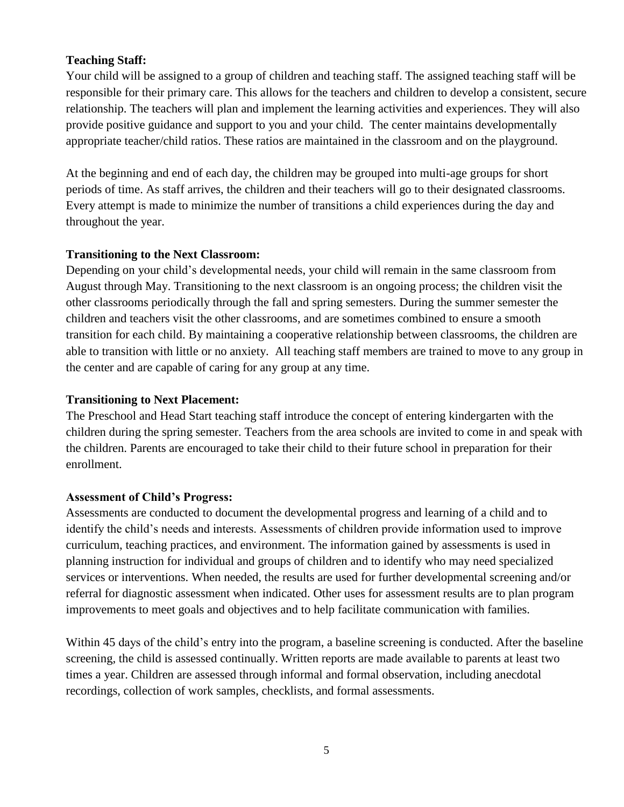#### **Teaching Staff:**

Your child will be assigned to a group of children and teaching staff. The assigned teaching staff will be responsible for their primary care. This allows for the teachers and children to develop a consistent, secure relationship. The teachers will plan and implement the learning activities and experiences. They will also provide positive guidance and support to you and your child. The center maintains developmentally appropriate teacher/child ratios. These ratios are maintained in the classroom and on the playground.

At the beginning and end of each day, the children may be grouped into multi-age groups for short periods of time. As staff arrives, the children and their teachers will go to their designated classrooms. Every attempt is made to minimize the number of transitions a child experiences during the day and throughout the year.

#### **Transitioning to the Next Classroom:**

Depending on your child's developmental needs, your child will remain in the same classroom from August through May. Transitioning to the next classroom is an ongoing process; the children visit the other classrooms periodically through the fall and spring semesters. During the summer semester the children and teachers visit the other classrooms, and are sometimes combined to ensure a smooth transition for each child. By maintaining a cooperative relationship between classrooms, the children are able to transition with little or no anxiety. All teaching staff members are trained to move to any group in the center and are capable of caring for any group at any time.

#### **Transitioning to Next Placement:**

The Preschool and Head Start teaching staff introduce the concept of entering kindergarten with the children during the spring semester. Teachers from the area schools are invited to come in and speak with the children. Parents are encouraged to take their child to their future school in preparation for their enrollment.

#### **Assessment of Child's Progress:**

Assessments are conducted to document the developmental progress and learning of a child and to identify the child's needs and interests. Assessments of children provide information used to improve curriculum, teaching practices, and environment. The information gained by assessments is used in planning instruction for individual and groups of children and to identify who may need specialized services or interventions. When needed, the results are used for further developmental screening and/or referral for diagnostic assessment when indicated. Other uses for assessment results are to plan program improvements to meet goals and objectives and to help facilitate communication with families.

Within 45 days of the child's entry into the program, a baseline screening is conducted. After the baseline screening, the child is assessed continually. Written reports are made available to parents at least two times a year. Children are assessed through informal and formal observation, including anecdotal recordings, collection of work samples, checklists, and formal assessments.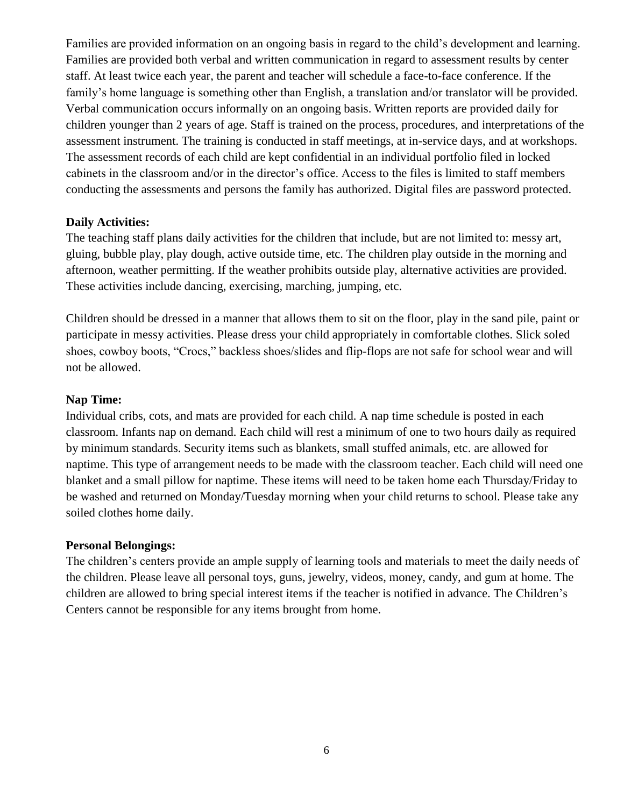Families are provided information on an ongoing basis in regard to the child's development and learning. Families are provided both verbal and written communication in regard to assessment results by center staff. At least twice each year, the parent and teacher will schedule a face-to-face conference. If the family's home language is something other than English, a translation and/or translator will be provided. Verbal communication occurs informally on an ongoing basis. Written reports are provided daily for children younger than 2 years of age. Staff is trained on the process, procedures, and interpretations of the assessment instrument. The training is conducted in staff meetings, at in-service days, and at workshops. The assessment records of each child are kept confidential in an individual portfolio filed in locked cabinets in the classroom and/or in the director's office. Access to the files is limited to staff members conducting the assessments and persons the family has authorized. Digital files are password protected.

#### **Daily Activities:**

The teaching staff plans daily activities for the children that include, but are not limited to: messy art, gluing, bubble play, play dough, active outside time, etc. The children play outside in the morning and afternoon, weather permitting. If the weather prohibits outside play, alternative activities are provided. These activities include dancing, exercising, marching, jumping, etc.

Children should be dressed in a manner that allows them to sit on the floor, play in the sand pile, paint or participate in messy activities. Please dress your child appropriately in comfortable clothes. Slick soled shoes, cowboy boots, "Crocs," backless shoes/slides and flip-flops are not safe for school wear and will not be allowed.

#### **Nap Time:**

Individual cribs, cots, and mats are provided for each child. A nap time schedule is posted in each classroom. Infants nap on demand. Each child will rest a minimum of one to two hours daily as required by minimum standards. Security items such as blankets, small stuffed animals, etc. are allowed for naptime. This type of arrangement needs to be made with the classroom teacher. Each child will need one blanket and a small pillow for naptime. These items will need to be taken home each Thursday/Friday to be washed and returned on Monday/Tuesday morning when your child returns to school. Please take any soiled clothes home daily.

#### **Personal Belongings:**

The children's centers provide an ample supply of learning tools and materials to meet the daily needs of the children. Please leave all personal toys, guns, jewelry, videos, money, candy, and gum at home. The children are allowed to bring special interest items if the teacher is notified in advance. The Children's Centers cannot be responsible for any items brought from home.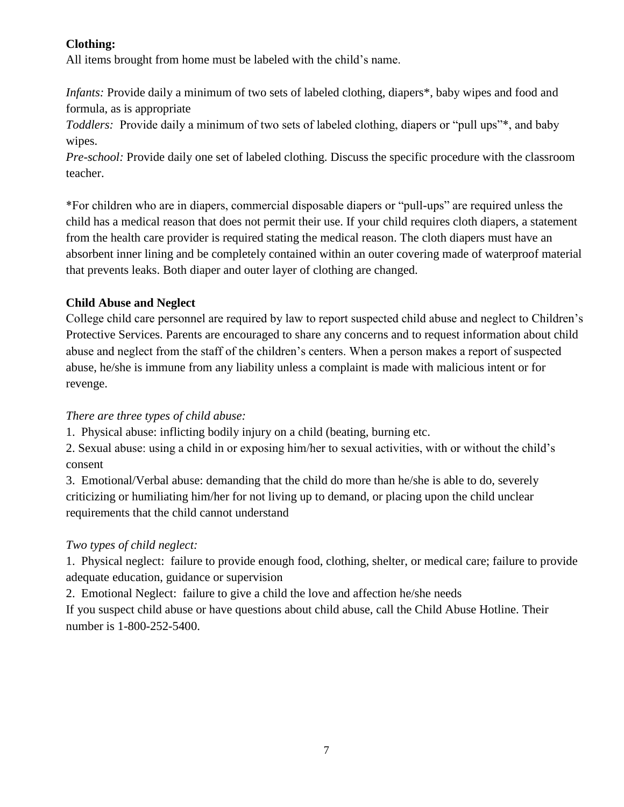# **Clothing:**

All items brought from home must be labeled with the child's name.

*Infants:* Provide daily a minimum of two sets of labeled clothing, diapers<sup>\*</sup>, baby wipes and food and formula, as is appropriate

*Toddlers:* Provide daily a minimum of two sets of labeled clothing, diapers or "pull ups"\*, and baby wipes.

*Pre-school:* Provide daily one set of labeled clothing. Discuss the specific procedure with the classroom teacher.

\*For children who are in diapers, commercial disposable diapers or "pull-ups" are required unless the child has a medical reason that does not permit their use. If your child requires cloth diapers, a statement from the health care provider is required stating the medical reason. The cloth diapers must have an absorbent inner lining and be completely contained within an outer covering made of waterproof material that prevents leaks. Both diaper and outer layer of clothing are changed.

# **Child Abuse and Neglect**

College child care personnel are required by law to report suspected child abuse and neglect to Children's Protective Services. Parents are encouraged to share any concerns and to request information about child abuse and neglect from the staff of the children's centers. When a person makes a report of suspected abuse, he/she is immune from any liability unless a complaint is made with malicious intent or for revenge.

# *There are three types of child abuse:*

1. Physical abuse: inflicting bodily injury on a child (beating, burning etc.

2. Sexual abuse: using a child in or exposing him/her to sexual activities, with or without the child's consent

3. Emotional/Verbal abuse: demanding that the child do more than he/she is able to do, severely criticizing or humiliating him/her for not living up to demand, or placing upon the child unclear requirements that the child cannot understand

# *Two types of child neglect:*

1. Physical neglect: failure to provide enough food, clothing, shelter, or medical care; failure to provide adequate education, guidance or supervision

2. Emotional Neglect: failure to give a child the love and affection he/she needs

If you suspect child abuse or have questions about child abuse, call the Child Abuse Hotline. Their number is 1-800-252-5400.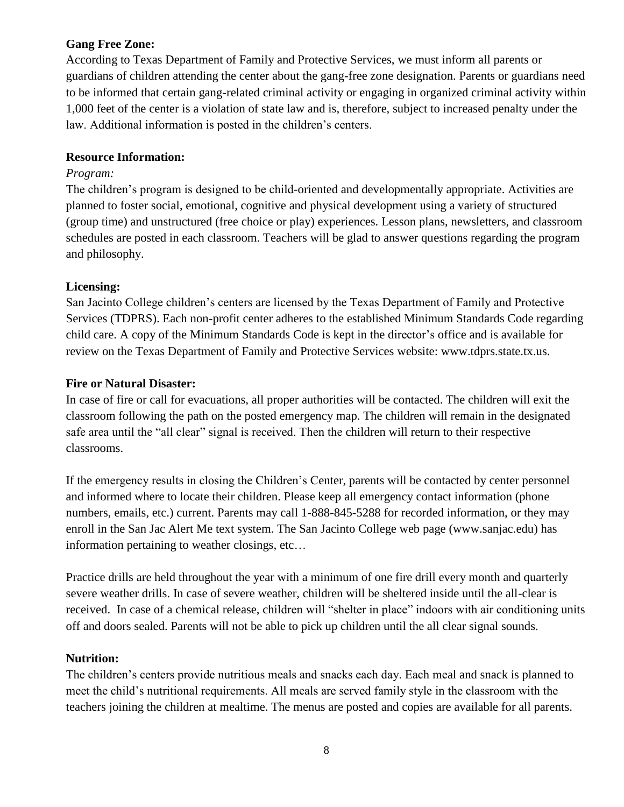#### **Gang Free Zone:**

According to Texas Department of Family and Protective Services, we must inform all parents or guardians of children attending the center about the gang-free zone designation. Parents or guardians need to be informed that certain gang-related criminal activity or engaging in organized criminal activity within 1,000 feet of the center is a violation of state law and is, therefore, subject to increased penalty under the law. Additional information is posted in the children's centers.

#### **Resource Information:**

#### *Program:*

The children's program is designed to be child-oriented and developmentally appropriate. Activities are planned to foster social, emotional, cognitive and physical development using a variety of structured (group time) and unstructured (free choice or play) experiences. Lesson plans, newsletters, and classroom schedules are posted in each classroom. Teachers will be glad to answer questions regarding the program and philosophy.

#### **Licensing:**

San Jacinto College children's centers are licensed by the Texas Department of Family and Protective Services (TDPRS). Each non-profit center adheres to the established Minimum Standards Code regarding child care. A copy of the Minimum Standards Code is kept in the director's office and is available for review on the Texas Department of Family and Protective Services website: www.tdprs.state.tx.us.

#### **Fire or Natural Disaster:**

In case of fire or call for evacuations, all proper authorities will be contacted. The children will exit the classroom following the path on the posted emergency map. The children will remain in the designated safe area until the "all clear" signal is received. Then the children will return to their respective classrooms.

If the emergency results in closing the Children's Center, parents will be contacted by center personnel and informed where to locate their children. Please keep all emergency contact information (phone numbers, emails, etc.) current. Parents may call 1-888-845-5288 for recorded information, or they may enroll in the San Jac Alert Me text system. The San Jacinto College web page (www.sanjac.edu) has information pertaining to weather closings, etc…

Practice drills are held throughout the year with a minimum of one fire drill every month and quarterly severe weather drills. In case of severe weather, children will be sheltered inside until the all-clear is received. In case of a chemical release, children will "shelter in place" indoors with air conditioning units off and doors sealed. Parents will not be able to pick up children until the all clear signal sounds.

#### **Nutrition:**

The children's centers provide nutritious meals and snacks each day. Each meal and snack is planned to meet the child's nutritional requirements. All meals are served family style in the classroom with the teachers joining the children at mealtime. The menus are posted and copies are available for all parents.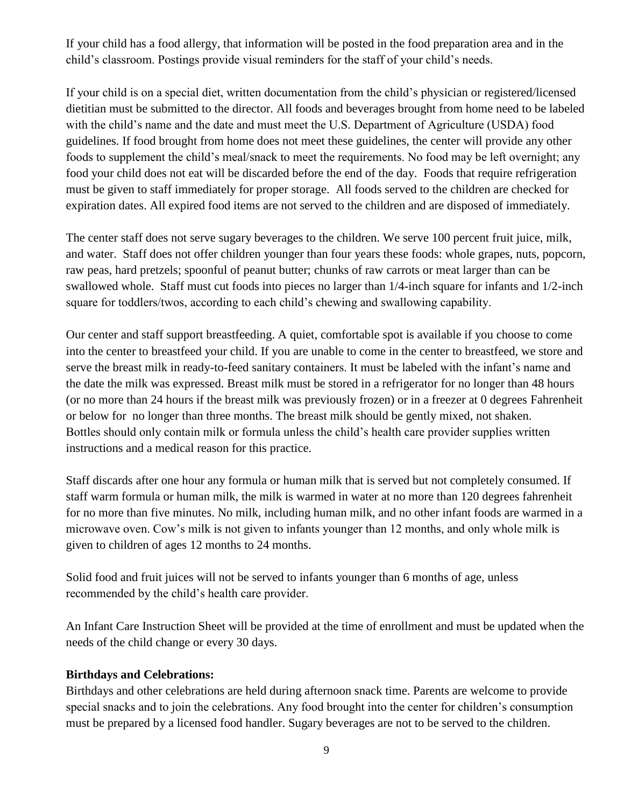If your child has a food allergy, that information will be posted in the food preparation area and in the child's classroom. Postings provide visual reminders for the staff of your child's needs.

If your child is on a special diet, written documentation from the child's physician or registered/licensed dietitian must be submitted to the director. All foods and beverages brought from home need to be labeled with the child's name and the date and must meet the U.S. Department of Agriculture (USDA) food guidelines. If food brought from home does not meet these guidelines, the center will provide any other foods to supplement the child's meal/snack to meet the requirements. No food may be left overnight; any food your child does not eat will be discarded before the end of the day. Foods that require refrigeration must be given to staff immediately for proper storage. All foods served to the children are checked for expiration dates. All expired food items are not served to the children and are disposed of immediately.

The center staff does not serve sugary beverages to the children. We serve 100 percent fruit juice, milk, and water. Staff does not offer children younger than four years these foods: whole grapes, nuts, popcorn, raw peas, hard pretzels; spoonful of peanut butter; chunks of raw carrots or meat larger than can be swallowed whole. Staff must cut foods into pieces no larger than 1/4-inch square for infants and 1/2-inch square for toddlers/twos, according to each child's chewing and swallowing capability.

Our center and staff support breastfeeding. A quiet, comfortable spot is available if you choose to come into the center to breastfeed your child. If you are unable to come in the center to breastfeed, we store and serve the breast milk in ready-to-feed sanitary containers. It must be labeled with the infant's name and the date the milk was expressed. Breast milk must be stored in a refrigerator for no longer than 48 hours (or no more than 24 hours if the breast milk was previously frozen) or in a freezer at 0 degrees Fahrenheit or below for no longer than three months. The breast milk should be gently mixed, not shaken. Bottles should only contain milk or formula unless the child's health care provider supplies written instructions and a medical reason for this practice.

Staff discards after one hour any formula or human milk that is served but not completely consumed. If staff warm formula or human milk, the milk is warmed in water at no more than 120 degrees fahrenheit for no more than five minutes. No milk, including human milk, and no other infant foods are warmed in a microwave oven. Cow's milk is not given to infants younger than 12 months, and only whole milk is given to children of ages 12 months to 24 months.

Solid food and fruit juices will not be served to infants younger than 6 months of age, unless recommended by the child's health care provider.

An Infant Care Instruction Sheet will be provided at the time of enrollment and must be updated when the needs of the child change or every 30 days.

#### **Birthdays and Celebrations:**

Birthdays and other celebrations are held during afternoon snack time. Parents are welcome to provide special snacks and to join the celebrations. Any food brought into the center for children's consumption must be prepared by a licensed food handler. Sugary beverages are not to be served to the children.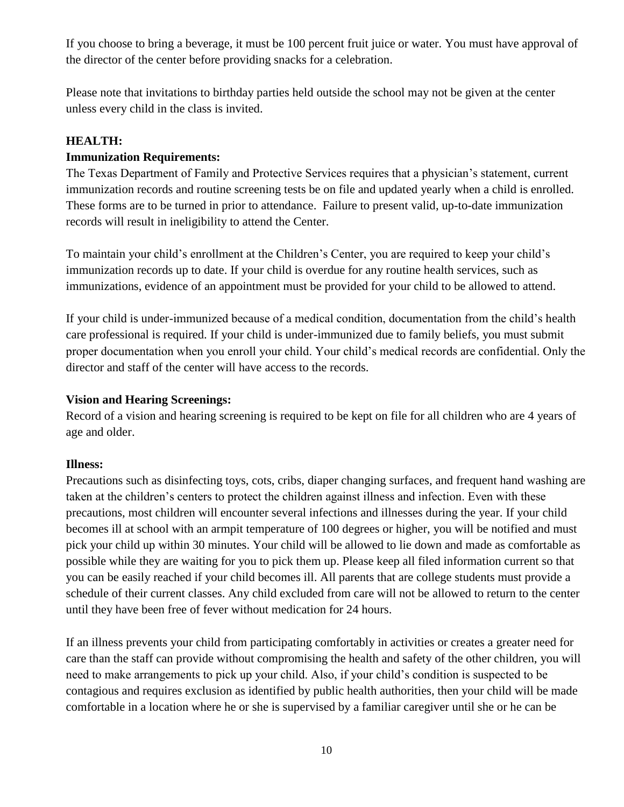If you choose to bring a beverage, it must be 100 percent fruit juice or water. You must have approval of the director of the center before providing snacks for a celebration.

Please note that invitations to birthday parties held outside the school may not be given at the center unless every child in the class is invited.

#### **HEALTH:**

#### **Immunization Requirements:**

The Texas Department of Family and Protective Services requires that a physician's statement, current immunization records and routine screening tests be on file and updated yearly when a child is enrolled. These forms are to be turned in prior to attendance. Failure to present valid, up-to-date immunization records will result in ineligibility to attend the Center.

To maintain your child's enrollment at the Children's Center, you are required to keep your child's immunization records up to date. If your child is overdue for any routine health services, such as immunizations, evidence of an appointment must be provided for your child to be allowed to attend.

If your child is under-immunized because of a medical condition, documentation from the child's health care professional is required. If your child is under-immunized due to family beliefs, you must submit proper documentation when you enroll your child. Your child's medical records are confidential. Only the director and staff of the center will have access to the records.

#### **Vision and Hearing Screenings:**

Record of a vision and hearing screening is required to be kept on file for all children who are 4 years of age and older.

#### **Illness:**

Precautions such as disinfecting toys, cots, cribs, diaper changing surfaces, and frequent hand washing are taken at the children's centers to protect the children against illness and infection. Even with these precautions, most children will encounter several infections and illnesses during the year. If your child becomes ill at school with an armpit temperature of 100 degrees or higher, you will be notified and must pick your child up within 30 minutes. Your child will be allowed to lie down and made as comfortable as possible while they are waiting for you to pick them up. Please keep all filed information current so that you can be easily reached if your child becomes ill. All parents that are college students must provide a schedule of their current classes. Any child excluded from care will not be allowed to return to the center until they have been free of fever without medication for 24 hours.

If an illness prevents your child from participating comfortably in activities or creates a greater need for care than the staff can provide without compromising the health and safety of the other children, you will need to make arrangements to pick up your child. Also, if your child's condition is suspected to be contagious and requires exclusion as identified by public health authorities, then your child will be made comfortable in a location where he or she is supervised by a familiar caregiver until she or he can be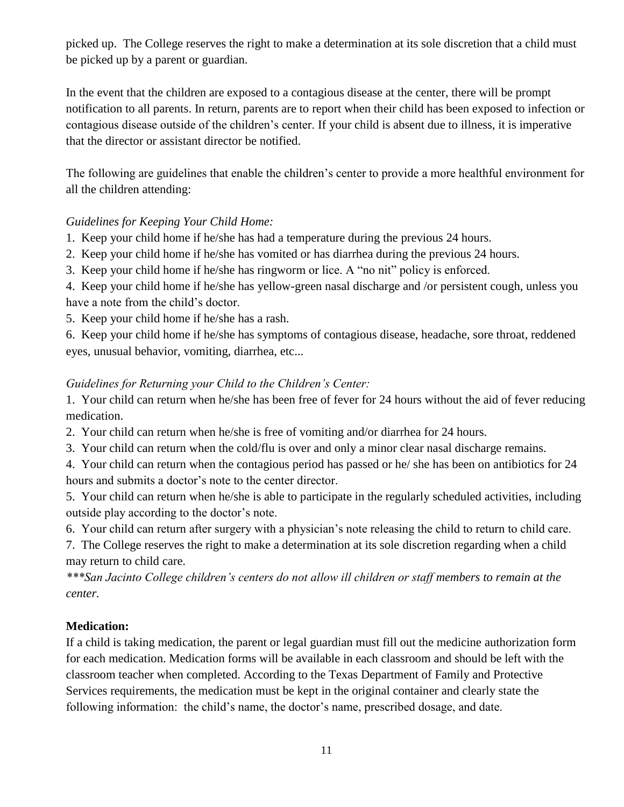picked up. The College reserves the right to make a determination at its sole discretion that a child must be picked up by a parent or guardian.

In the event that the children are exposed to a contagious disease at the center, there will be prompt notification to all parents. In return, parents are to report when their child has been exposed to infection or contagious disease outside of the children's center. If your child is absent due to illness, it is imperative that the director or assistant director be notified.

The following are guidelines that enable the children's center to provide a more healthful environment for all the children attending:

#### *Guidelines for Keeping Your Child Home:*

- 1. Keep your child home if he/she has had a temperature during the previous 24 hours.
- 2. Keep your child home if he/she has vomited or has diarrhea during the previous 24 hours.
- 3. Keep your child home if he/she has ringworm or lice. A "no nit" policy is enforced.

4. Keep your child home if he/she has yellow-green nasal discharge and /or persistent cough, unless you have a note from the child's doctor.

5. Keep your child home if he/she has a rash.

6. Keep your child home if he/she has symptoms of contagious disease, headache, sore throat, reddened eyes, unusual behavior, vomiting, diarrhea, etc...

#### *Guidelines for Returning your Child to the Children's Center:*

1. Your child can return when he/she has been free of fever for 24 hours without the aid of fever reducing medication.

2. Your child can return when he/she is free of vomiting and/or diarrhea for 24 hours.

3. Your child can return when the cold/flu is over and only a minor clear nasal discharge remains.

4. Your child can return when the contagious period has passed or he/ she has been on antibiotics for 24 hours and submits a doctor's note to the center director.

5. Your child can return when he/she is able to participate in the regularly scheduled activities, including outside play according to the doctor's note.

6. Your child can return after surgery with a physician's note releasing the child to return to child care.

7. The College reserves the right to make a determination at its sole discretion regarding when a child may return to child care.

*\*\*\*San Jacinto College children's centers do not allow ill children or staff members to remain at the center.*

#### **Medication:**

If a child is taking medication, the parent or legal guardian must fill out the medicine authorization form for each medication. Medication forms will be available in each classroom and should be left with the classroom teacher when completed. According to the Texas Department of Family and Protective Services requirements, the medication must be kept in the original container and clearly state the following information: the child's name, the doctor's name, prescribed dosage, and date.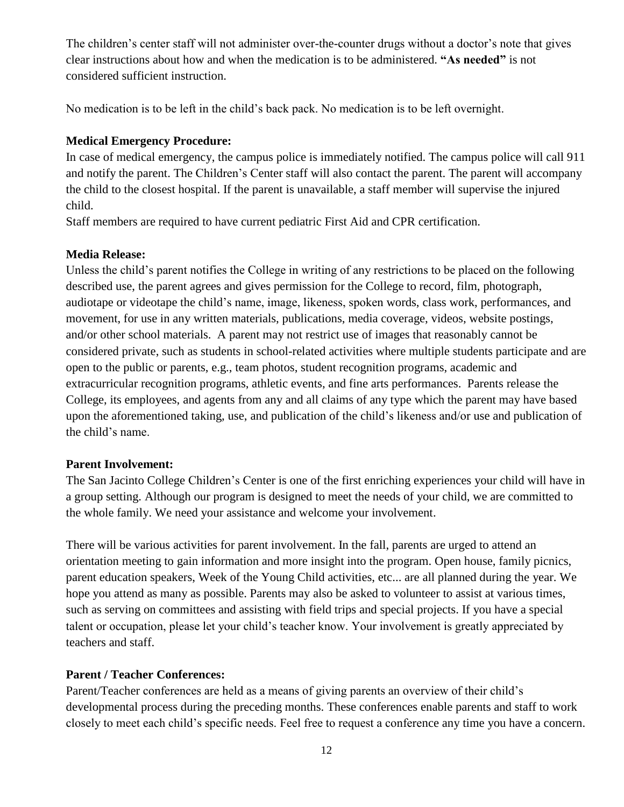The children's center staff will not administer over-the-counter drugs without a doctor's note that gives clear instructions about how and when the medication is to be administered. **"As needed"** is not considered sufficient instruction.

No medication is to be left in the child's back pack. No medication is to be left overnight.

#### **Medical Emergency Procedure:**

In case of medical emergency, the campus police is immediately notified. The campus police will call 911 and notify the parent. The Children's Center staff will also contact the parent. The parent will accompany the child to the closest hospital. If the parent is unavailable, a staff member will supervise the injured child.

Staff members are required to have current pediatric First Aid and CPR certification.

#### **Media Release:**

Unless the child's parent notifies the College in writing of any restrictions to be placed on the following described use, the parent agrees and gives permission for the College to record, film, photograph, audiotape or videotape the child's name, image, likeness, spoken words, class work, performances, and movement, for use in any written materials, publications, media coverage, videos, website postings, and/or other school materials. A parent may not restrict use of images that reasonably cannot be considered private, such as students in school-related activities where multiple students participate and are open to the public or parents, e.g., team photos, student recognition programs, academic and extracurricular recognition programs, athletic events, and fine arts performances. Parents release the College, its employees, and agents from any and all claims of any type which the parent may have based upon the aforementioned taking, use, and publication of the child's likeness and/or use and publication of the child's name.

#### **Parent Involvement:**

The San Jacinto College Children's Center is one of the first enriching experiences your child will have in a group setting. Although our program is designed to meet the needs of your child, we are committed to the whole family. We need your assistance and welcome your involvement.

There will be various activities for parent involvement. In the fall, parents are urged to attend an orientation meeting to gain information and more insight into the program. Open house, family picnics, parent education speakers, Week of the Young Child activities, etc... are all planned during the year. We hope you attend as many as possible. Parents may also be asked to volunteer to assist at various times, such as serving on committees and assisting with field trips and special projects. If you have a special talent or occupation, please let your child's teacher know. Your involvement is greatly appreciated by teachers and staff.

#### **Parent / Teacher Conferences:**

Parent/Teacher conferences are held as a means of giving parents an overview of their child's developmental process during the preceding months. These conferences enable parents and staff to work closely to meet each child's specific needs. Feel free to request a conference any time you have a concern.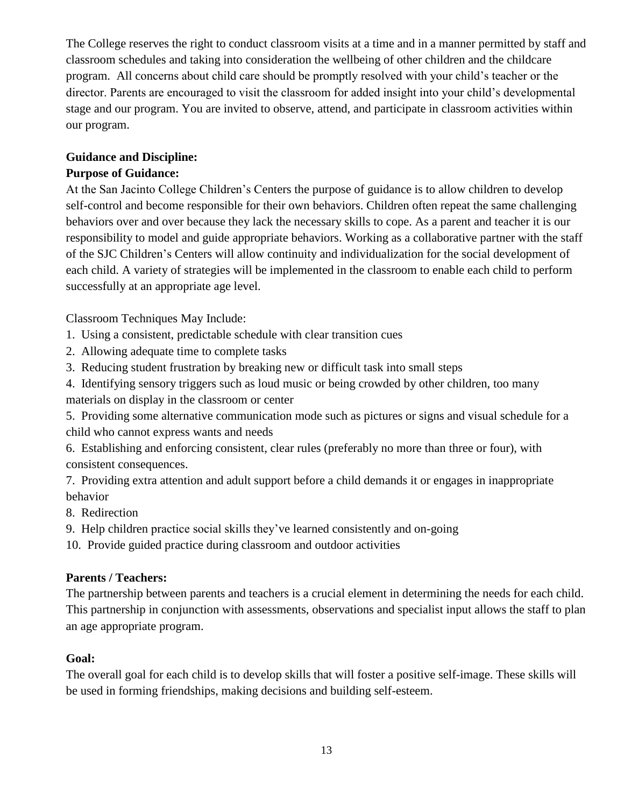The College reserves the right to conduct classroom visits at a time and in a manner permitted by staff and classroom schedules and taking into consideration the wellbeing of other children and the childcare program. All concerns about child care should be promptly resolved with your child's teacher or the director. Parents are encouraged to visit the classroom for added insight into your child's developmental stage and our program. You are invited to observe, attend, and participate in classroom activities within our program.

# **Guidance and Discipline:**

# **Purpose of Guidance:**

At the San Jacinto College Children's Centers the purpose of guidance is to allow children to develop self-control and become responsible for their own behaviors. Children often repeat the same challenging behaviors over and over because they lack the necessary skills to cope. As a parent and teacher it is our responsibility to model and guide appropriate behaviors. Working as a collaborative partner with the staff of the SJC Children's Centers will allow continuity and individualization for the social development of each child. A variety of strategies will be implemented in the classroom to enable each child to perform successfully at an appropriate age level.

Classroom Techniques May Include:

- 1. Using a consistent, predictable schedule with clear transition cues
- 2. Allowing adequate time to complete tasks
- 3. Reducing student frustration by breaking new or difficult task into small steps
- 4. Identifying sensory triggers such as loud music or being crowded by other children, too many materials on display in the classroom or center
- 5. Providing some alternative communication mode such as pictures or signs and visual schedule for a child who cannot express wants and needs

6. Establishing and enforcing consistent, clear rules (preferably no more than three or four), with consistent consequences.

7. Providing extra attention and adult support before a child demands it or engages in inappropriate behavior

- 8. Redirection
- 9. Help children practice social skills they've learned consistently and on-going

10. Provide guided practice during classroom and outdoor activities

# **Parents / Teachers:**

The partnership between parents and teachers is a crucial element in determining the needs for each child. This partnership in conjunction with assessments, observations and specialist input allows the staff to plan an age appropriate program.

# **Goal:**

The overall goal for each child is to develop skills that will foster a positive self-image. These skills will be used in forming friendships, making decisions and building self-esteem.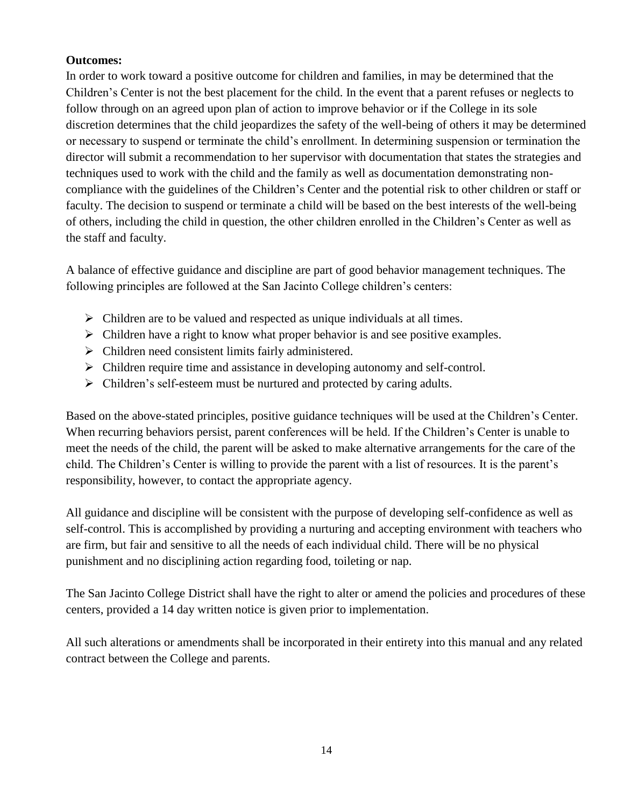#### **Outcomes:**

In order to work toward a positive outcome for children and families, in may be determined that the Children's Center is not the best placement for the child. In the event that a parent refuses or neglects to follow through on an agreed upon plan of action to improve behavior or if the College in its sole discretion determines that the child jeopardizes the safety of the well-being of others it may be determined or necessary to suspend or terminate the child's enrollment. In determining suspension or termination the director will submit a recommendation to her supervisor with documentation that states the strategies and techniques used to work with the child and the family as well as documentation demonstrating noncompliance with the guidelines of the Children's Center and the potential risk to other children or staff or faculty. The decision to suspend or terminate a child will be based on the best interests of the well-being of others, including the child in question, the other children enrolled in the Children's Center as well as the staff and faculty.

A balance of effective guidance and discipline are part of good behavior management techniques. The following principles are followed at the San Jacinto College children's centers:

- $\triangleright$  Children are to be valued and respected as unique individuals at all times.
- $\triangleright$  Children have a right to know what proper behavior is and see positive examples.
- $\triangleright$  Children need consistent limits fairly administered.
- $\triangleright$  Children require time and assistance in developing autonomy and self-control.
- $\triangleright$  Children's self-esteem must be nurtured and protected by caring adults.

Based on the above-stated principles, positive guidance techniques will be used at the Children's Center. When recurring behaviors persist, parent conferences will be held. If the Children's Center is unable to meet the needs of the child, the parent will be asked to make alternative arrangements for the care of the child. The Children's Center is willing to provide the parent with a list of resources. It is the parent's responsibility, however, to contact the appropriate agency.

All guidance and discipline will be consistent with the purpose of developing self-confidence as well as self-control. This is accomplished by providing a nurturing and accepting environment with teachers who are firm, but fair and sensitive to all the needs of each individual child. There will be no physical punishment and no disciplining action regarding food, toileting or nap.

The San Jacinto College District shall have the right to alter or amend the policies and procedures of these centers, provided a 14 day written notice is given prior to implementation.

All such alterations or amendments shall be incorporated in their entirety into this manual and any related contract between the College and parents.